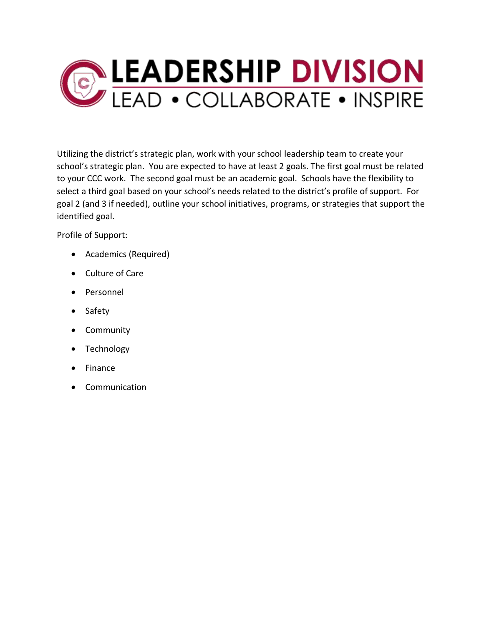

Utilizing the district's strategic plan, work with your school leadership team to create your school's strategic plan. You are expected to have at least 2 goals. The first goal must be related to your CCC work. The second goal must be an academic goal. Schools have the flexibility to select a third goal based on your school's needs related to the district's profile of support. For goal 2 (and 3 if needed), outline your school initiatives, programs, or strategies that support the identified goal.

Profile of Support:

- Academics (Required)
- Culture of Care
- Personnel
- Safety
- Community
- Technology
- Finance
- Communication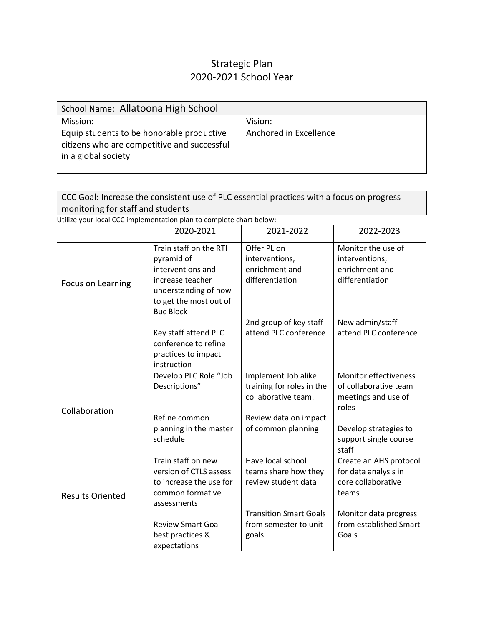## Strategic Plan 2020-2021 School Year

| School Name: Allatoona High School                                                                              |                        |
|-----------------------------------------------------------------------------------------------------------------|------------------------|
| Mission:                                                                                                        | Vision:                |
| Equip students to be honorable productive<br>citizens who are competitive and successful<br>in a global society | Anchored in Excellence |

| CCC Goal: Increase the consistent use of PLC essential practices with a focus on progress |
|-------------------------------------------------------------------------------------------|
| monitoring for staff and students                                                         |

| Utilize your local CCC implementation plan to complete chart below: |  |
|---------------------------------------------------------------------|--|
|                                                                     |  |

|                         | 2020-2021                                                                                                                                           | 2021-2022                                                                                                              | 2022-2023                                                                      |
|-------------------------|-----------------------------------------------------------------------------------------------------------------------------------------------------|------------------------------------------------------------------------------------------------------------------------|--------------------------------------------------------------------------------|
| Focus on Learning       | Train staff on the RTI<br>pyramid of<br>interventions and<br>increase teacher<br>understanding of how<br>to get the most out of<br><b>Buc Block</b> | Offer PL on<br>interventions,<br>enrichment and<br>differentiation                                                     | Monitor the use of<br>interventions,<br>enrichment and<br>differentiation      |
|                         | Key staff attend PLC<br>conference to refine<br>practices to impact<br>instruction                                                                  | 2nd group of key staff<br>attend PLC conference                                                                        | New admin/staff<br>attend PLC conference                                       |
| Collaboration           | Develop PLC Role "Job<br>Descriptions"<br>Refine common                                                                                             | Implement Job alike<br>training for roles in the<br>collaborative team.<br>Review data on impact<br>of common planning | Monitor effectiveness<br>of collaborative team<br>meetings and use of<br>roles |
|                         | planning in the master<br>schedule                                                                                                                  |                                                                                                                        | Develop strategies to<br>support single course<br>staff                        |
| <b>Results Oriented</b> | Train staff on new<br>version of CTLS assess<br>to increase the use for<br>common formative<br>assessments                                          | Have local school<br>teams share how they<br>review student data                                                       | Create an AHS protocol<br>for data analysis in<br>core collaborative<br>teams  |
|                         | <b>Review Smart Goal</b><br>best practices &<br>expectations                                                                                        | <b>Transition Smart Goals</b><br>from semester to unit<br>goals                                                        | Monitor data progress<br>from established Smart<br>Goals                       |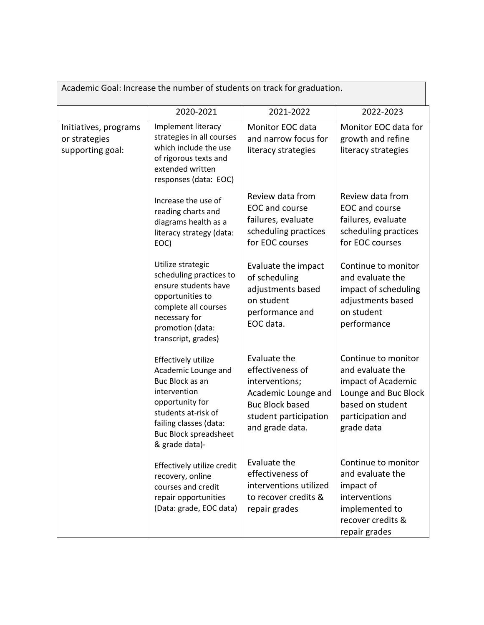| Academic Goal: Increase the number of students on track for graduation. |                                                                                                                                                                                                     |                                                                                                                                                 |                                                                                                                                              |  |
|-------------------------------------------------------------------------|-----------------------------------------------------------------------------------------------------------------------------------------------------------------------------------------------------|-------------------------------------------------------------------------------------------------------------------------------------------------|----------------------------------------------------------------------------------------------------------------------------------------------|--|
|                                                                         | 2020-2021                                                                                                                                                                                           | 2021-2022                                                                                                                                       | 2022-2023                                                                                                                                    |  |
| Initiatives, programs<br>or strategies<br>supporting goal:              | Implement literacy<br>strategies in all courses<br>which include the use<br>of rigorous texts and<br>extended written<br>responses (data: EOC)                                                      | Monitor EOC data<br>and narrow focus for<br>literacy strategies                                                                                 | Monitor EOC data for<br>growth and refine<br>literacy strategies                                                                             |  |
|                                                                         | Increase the use of<br>reading charts and<br>diagrams health as a<br>literacy strategy (data:<br>EOC)                                                                                               | Review data from<br>EOC and course<br>failures, evaluate<br>scheduling practices<br>for EOC courses                                             | Review data from<br>EOC and course<br>failures, evaluate<br>scheduling practices<br>for EOC courses                                          |  |
|                                                                         | Utilize strategic<br>scheduling practices to<br>ensure students have<br>opportunities to<br>complete all courses<br>necessary for<br>promotion (data:<br>transcript, grades)                        | Evaluate the impact<br>of scheduling<br>adjustments based<br>on student<br>performance and<br>EOC data.                                         | Continue to monitor<br>and evaluate the<br>impact of scheduling<br>adjustments based<br>on student<br>performance                            |  |
|                                                                         | Effectively utilize<br>Academic Lounge and<br>Buc Block as an<br>intervention<br>opportunity for<br>students at-risk of<br>failing classes (data:<br><b>Buc Block spreadsheet</b><br>& grade data)- | Evaluate the<br>effectiveness of<br>interventions;<br>Academic Lounge and<br><b>Buc Block based</b><br>student participation<br>and grade data. | Continue to monitor<br>and evaluate the<br>impact of Academic<br>Lounge and Buc Block<br>based on student<br>participation and<br>grade data |  |
|                                                                         | Effectively utilize credit<br>recovery, online<br>courses and credit<br>repair opportunities<br>(Data: grade, EOC data)                                                                             | Evaluate the<br>effectiveness of<br>interventions utilized<br>to recover credits &<br>repair grades                                             | Continue to monitor<br>and evaluate the<br>impact of<br>interventions<br>implemented to<br>recover credits &<br>repair grades                |  |